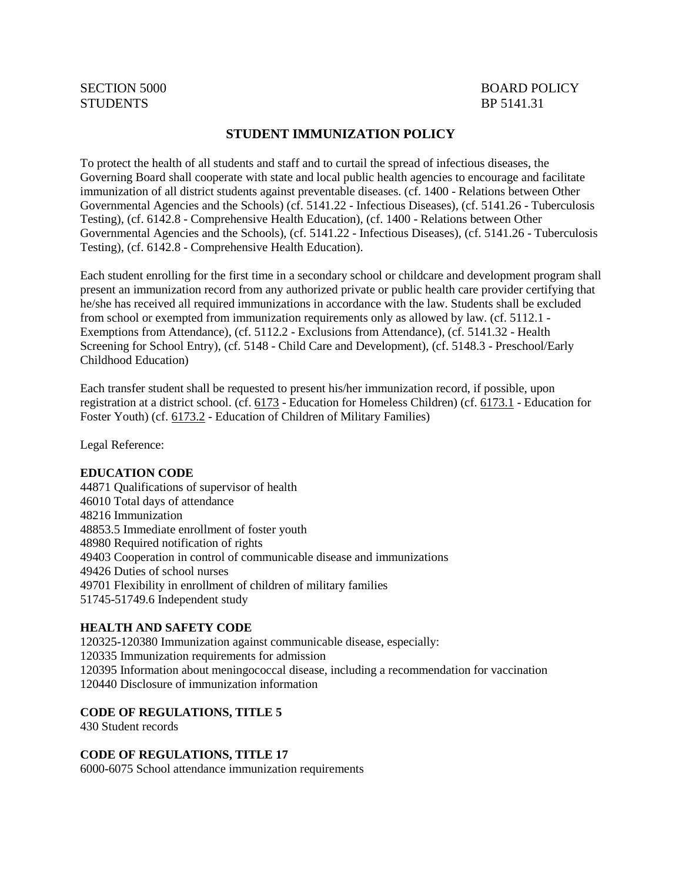# STUDENTS BP 5141.31

## SECTION 5000 BOARD POLICY

#### **STUDENT IMMUNIZATION POLICY**

To protect the health of all students and staff and to curtail the spread of infectious diseases, the Governing Board shall cooperate with state and local public health agencies to encourage and facilitate immunization of all district students against preventable diseases. (cf. 1400 - Relations between Other Governmental Agencies and the Schools) (cf. 5141.22 - Infectious Diseases), (cf. 5141.26 - Tuberculosis Testing), (cf. 6142.8 - Comprehensive Health Education), (cf. 1400 - Relations between Other Governmental Agencies and the Schools), (cf. 5141.22 - Infectious Diseases), (cf. 5141.26 - Tuberculosis Testing), (cf. 6142.8 - Comprehensive Health Education).

Each student enrolling for the first time in a secondary school or childcare and development program shall present an immunization record from any authorized private or public health care provider certifying that he/she has received all required immunizations in accordance with the law. Students shall be excluded from school or exempted from immunization requirements only as allowed by law. (cf. 5112.1 - Exemptions from Attendance), (cf. 5112.2 - Exclusions from Attendance), (cf. 5141.32 - Health Screening for School Entry), (cf. 5148 - Child Care and Development), (cf. 5148.3 - Preschool/Early Childhood Education)

Each transfer student shall be requested to present his/her immunization record, if possible, upon registration at a district school. (cf. [6173](http://gamutonline.net/displayPolicy/274293/5) - Education for Homeless Children) (cf. [6173.1](http://gamutonline.net/displayPolicy/324915/5) - Education for Foster Youth) (cf. [6173.2](http://gamutonline.net/displayPolicy/599415/5) - Education of Children of Military Families)

Legal Reference:

#### **EDUCATION CODE**

44871 Qualifications of supervisor of health 46010 Total days of attendance 48216 Immunization 48853.5 Immediate enrollment of foster youth 48980 Required notification of rights 49403 Cooperation in control of communicable disease and immunizations 49426 Duties of school nurses 49701 Flexibility in enrollment of children of military families 51745-51749.6 Independent study

#### **HEALTH AND SAFETY CODE**

120325-120380 Immunization against communicable disease, especially: 120335 Immunization requirements for admission 120395 Information about meningococcal disease, including a recommendation for vaccination 120440 Disclosure of immunization information

#### **CODE OF REGULATIONS, TITLE 5**

430 Student records

**CODE OF REGULATIONS, TITLE 17**

6000-6075 School attendance immunization requirements